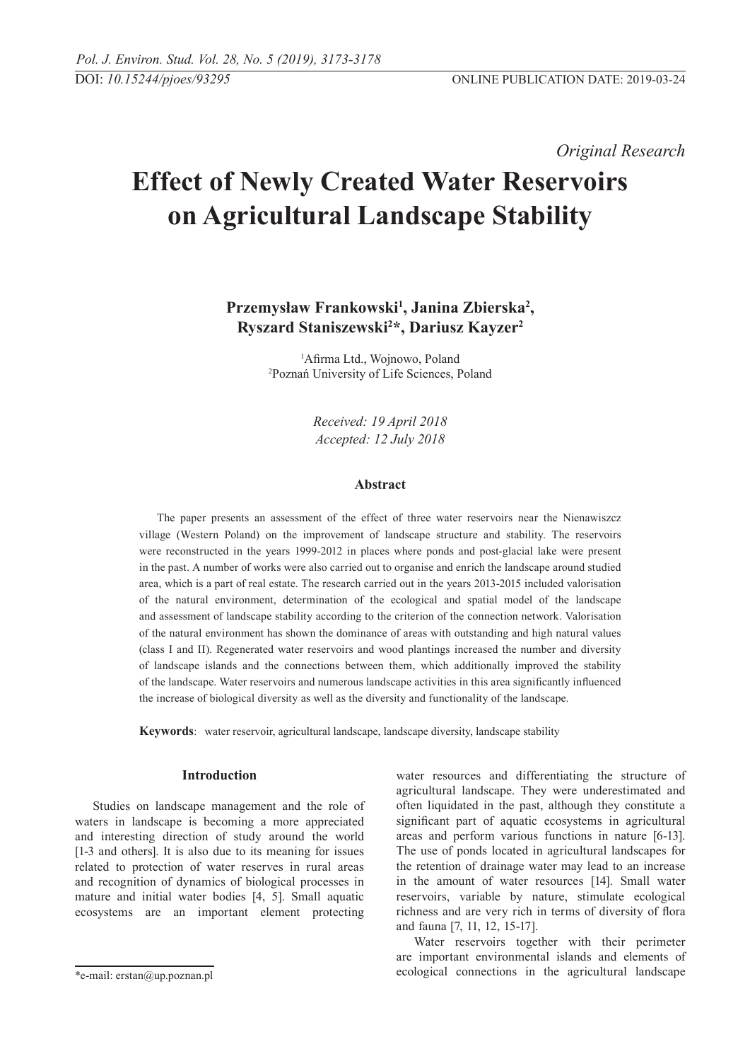*Original Research* 

# **Effect of Newly Created Water Reservoirs on Agricultural Landscape Stability**

# **Przemysław Frankowski<sup>1</sup> , Janina Zbierska<sup>2</sup> , Ryszard Staniszewski<sup>2</sup> \*, Dariusz Kayzer2**

1 Afirma Ltd., Wojnowo, Poland 2 Poznań University of Life Sciences, Poland

> *Received: 19 April 2018 Accepted: 12 July 2018*

# **Abstract**

The paper presents an assessment of the effect of three water reservoirs near the Nienawiszcz village (Western Poland) on the improvement of landscape structure and stability. The reservoirs were reconstructed in the years 1999-2012 in places where ponds and post-glacial lake were present in the past. A number of works were also carried out to organise and enrich the landscape around studied area, which is a part of real estate. The research carried out in the years 2013-2015 included valorisation of the natural environment, determination of the ecological and spatial model of the landscape and assessment of landscape stability according to the criterion of the connection network. Valorisation of the natural environment has shown the dominance of areas with outstanding and high natural values (class I and II). Regenerated water reservoirs and wood plantings increased the number and diversity of landscape islands and the connections between them, which additionally improved the stability of the landscape. Water reservoirs and numerous landscape activities in this area significantly influenced the increase of biological diversity as well as the diversity and functionality of the landscape.

**Keywords**: water reservoir, agricultural landscape, landscape diversity, landscape stability

#### **Introduction**

Studies on landscape management and the role of waters in landscape is becoming a more appreciated and interesting direction of study around the world [1-3 and others]. It is also due to its meaning for issues related to protection of water reserves in rural areas and recognition of dynamics of biological processes in mature and initial water bodies [4, 5]. Small aquatic ecosystems are an important element protecting

water resources and differentiating the structure of agricultural landscape. They were underestimated and often liquidated in the past, although they constitute a significant part of aquatic ecosystems in agricultural areas and perform various functions in nature [6-13]. The use of ponds located in agricultural landscapes for the retention of drainage water may lead to an increase in the amount of water resources [14]. Small water reservoirs, variable by nature, stimulate ecological richness and are very rich in terms of diversity of flora and fauna [7, 11, 12, 15-17].

Water reservoirs together with their perimeter are important environmental islands and elements of ecological connections in the agricultural landscape

<sup>\*</sup>e-mail: erstan@up.poznan.pl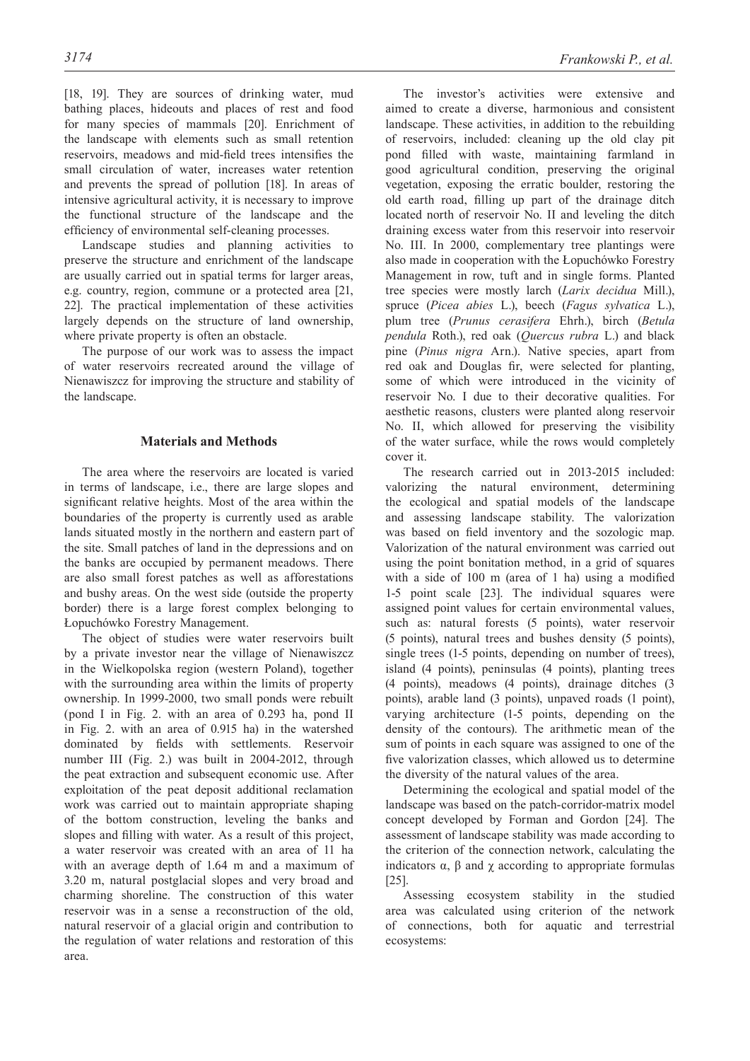[18, 19]. They are sources of drinking water, mud bathing places, hideouts and places of rest and food for many species of mammals [20]. Enrichment of the landscape with elements such as small retention reservoirs, meadows and mid-field trees intensifies the small circulation of water, increases water retention and prevents the spread of pollution [18]. In areas of intensive agricultural activity, it is necessary to improve the functional structure of the landscape and the efficiency of environmental self-cleaning processes.

Landscape studies and planning activities to preserve the structure and enrichment of the landscape are usually carried out in spatial terms for larger areas, e.g. country, region, commune or a protected area [21, 22]. The practical implementation of these activities largely depends on the structure of land ownership, where private property is often an obstacle.

The purpose of our work was to assess the impact of water reservoirs recreated around the village of Nienawiszcz for improving the structure and stability of the landscape.

## **Materials and Methods**

The area where the reservoirs are located is varied in terms of landscape, i.e., there are large slopes and significant relative heights. Most of the area within the boundaries of the property is currently used as arable lands situated mostly in the northern and eastern part of the site. Small patches of land in the depressions and on the banks are occupied by permanent meadows. There are also small forest patches as well as afforestations and bushy areas. On the west side (outside the property border) there is a large forest complex belonging to Łopuchówko Forestry Management.

The object of studies were water reservoirs built by a private investor near the village of Nienawiszcz in the Wielkopolska region (western Poland), together with the surrounding area within the limits of property ownership. In 1999-2000, two small ponds were rebuilt (pond I in Fig. 2. with an area of 0.293 ha, pond II in Fig. 2. with an area of 0.915 ha) in the watershed dominated by fields with settlements. Reservoir number III (Fig. 2.) was built in 2004-2012, through the peat extraction and subsequent economic use. After exploitation of the peat deposit additional reclamation work was carried out to maintain appropriate shaping of the bottom construction, leveling the banks and slopes and filling with water. As a result of this project, a water reservoir was created with an area of 11 ha with an average depth of 1.64 m and a maximum of 3.20 m, natural postglacial slopes and very broad and charming shoreline. The construction of this water reservoir was in a sense a reconstruction of the old, natural reservoir of a glacial origin and contribution to the regulation of water relations and restoration of this area.

The investor's activities were extensive and aimed to create a diverse, harmonious and consistent landscape. These activities, in addition to the rebuilding of reservoirs, included: cleaning up the old clay pit pond filled with waste, maintaining farmland in good agricultural condition, preserving the original vegetation, exposing the erratic boulder, restoring the old earth road, filling up part of the drainage ditch located north of reservoir No. II and leveling the ditch draining excess water from this reservoir into reservoir No. III. In 2000, complementary tree plantings were also made in cooperation with the Łopuchówko Forestry Management in row, tuft and in single forms. Planted tree species were mostly larch (*Larix decidua* Mill.), spruce (*Picea abies* L.), beech (*Fagus sylvatica* L.), plum tree (*Prunus cerasifera* Ehrh.), birch (*Betula pendula* Roth.), red oak (*Quercus rubra* L.) and black pine (*Pinus nigra* Arn.). Native species, apart from red oak and Douglas fir, were selected for planting, some of which were introduced in the vicinity of reservoir No. I due to their decorative qualities. For aesthetic reasons, clusters were planted along reservoir No. II, which allowed for preserving the visibility of the water surface, while the rows would completely cover it.

The research carried out in 2013-2015 included: valorizing the natural environment, determining the ecological and spatial models of the landscape and assessing landscape stability. The valorization was based on field inventory and the sozologic map. Valorization of the natural environment was carried out using the point bonitation method, in a grid of squares with a side of 100 m (area of 1 ha) using a modified 1-5 point scale [23]. The individual squares were assigned point values for certain environmental values, such as: natural forests (5 points), water reservoir (5 points), natural trees and bushes density (5 points), single trees (1-5 points, depending on number of trees), island (4 points), peninsulas (4 points), planting trees (4 points), meadows (4 points), drainage ditches (3 points), arable land (3 points), unpaved roads (1 point), varying architecture (1-5 points, depending on the density of the contours). The arithmetic mean of the sum of points in each square was assigned to one of the five valorization classes, which allowed us to determine the diversity of the natural values of the area.

Determining the ecological and spatial model of the landscape was based on the patch-corridor-matrix model concept developed by Forman and Gordon [24]. The assessment of landscape stability was made according to the criterion of the connection network, calculating the indicators  $\alpha$ ,  $\beta$  and  $\gamma$  according to appropriate formulas [25].

Assessing ecosystem stability in the studied area was calculated using criterion of the network of connections, both for aquatic and terrestrial ecosystems: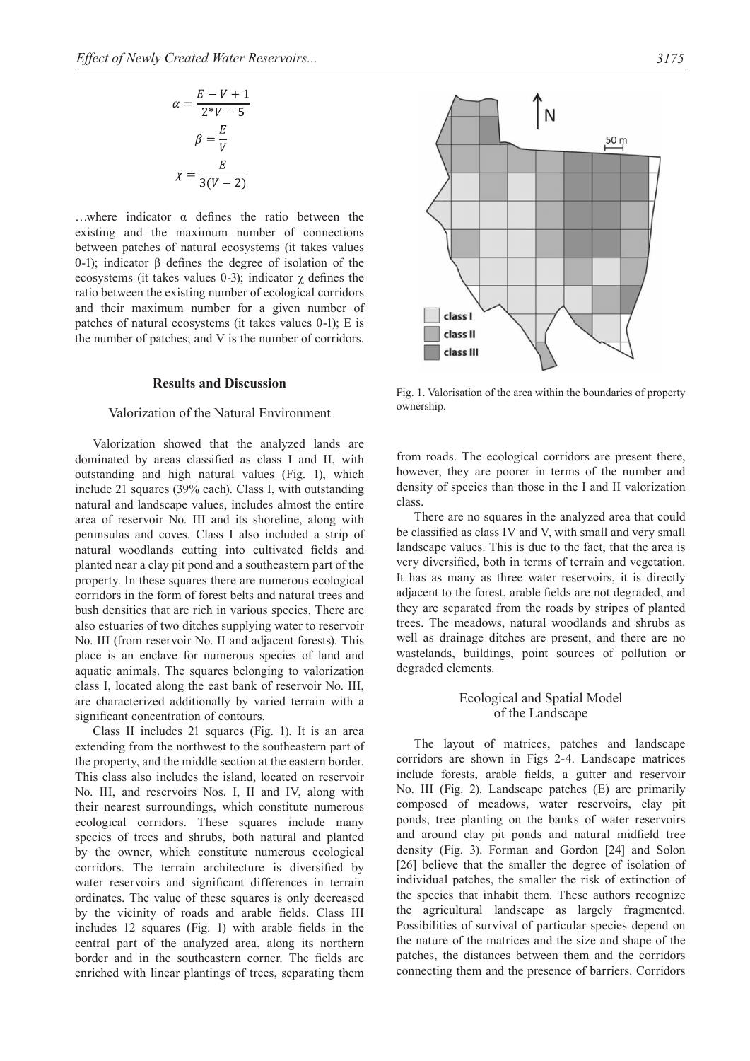$$
\alpha = \frac{E - V + 1}{2^*V - 5}
$$

$$
\beta = \frac{E}{V}
$$

$$
\chi = \frac{E}{3(V - 2)}
$$

…where indicator α defines the ratio between the existing and the maximum number of connections between patches of natural ecosystems (it takes values 0-1); indicator β defines the degree of isolation of the ecosystems (it takes values 0-3); indicator  $\gamma$  defines the ratio between the existing number of ecological corridors and their maximum number for a given number of patches of natural ecosystems (it takes values 0-1); E is the number of patches; and V is the number of corridors.

# **Results and Discussion**

#### Valorization of the Natural Environment

Valorization showed that the analyzed lands are dominated by areas classified as class I and II, with outstanding and high natural values (Fig. 1), which include 21 squares (39% each). Class I, with outstanding natural and landscape values, includes almost the entire area of reservoir No. III and its shoreline, along with peninsulas and coves. Class I also included a strip of natural woodlands cutting into cultivated fields and planted near a clay pit pond and a southeastern part of the property. In these squares there are numerous ecological corridors in the form of forest belts and natural trees and bush densities that are rich in various species. There are also estuaries of two ditches supplying water to reservoir No. III (from reservoir No. II and adjacent forests). This place is an enclave for numerous species of land and aquatic animals. The squares belonging to valorization class I, located along the east bank of reservoir No. III, are characterized additionally by varied terrain with a significant concentration of contours.

Class II includes 21 squares (Fig. 1). It is an area extending from the northwest to the southeastern part of the property, and the middle section at the eastern border. This class also includes the island, located on reservoir No. III, and reservoirs Nos. I, II and IV, along with their nearest surroundings, which constitute numerous ecological corridors. These squares include many species of trees and shrubs, both natural and planted by the owner, which constitute numerous ecological corridors. The terrain architecture is diversified by water reservoirs and significant differences in terrain ordinates. The value of these squares is only decreased by the vicinity of roads and arable fields. Class III includes 12 squares (Fig. 1) with arable fields in the central part of the analyzed area, along its northern border and in the southeastern corner. The fields are enriched with linear plantings of trees, separating them



Fig. 1. Valorisation of the area within the boundaries of property ownership.

from roads. The ecological corridors are present there, however, they are poorer in terms of the number and density of species than those in the I and II valorization class.

There are no squares in the analyzed area that could be classified as class IV and V, with small and very small landscape values. This is due to the fact, that the area is very diversified, both in terms of terrain and vegetation. It has as many as three water reservoirs, it is directly adjacent to the forest, arable fields are not degraded, and they are separated from the roads by stripes of planted trees. The meadows, natural woodlands and shrubs as well as drainage ditches are present, and there are no wastelands, buildings, point sources of pollution or degraded elements.

# Ecological and Spatial Model of the Landscape

The layout of matrices, patches and landscape corridors are shown in Figs 2-4. Landscape matrices include forests, arable fields, a gutter and reservoir No. III (Fig. 2). Landscape patches (E) are primarily composed of meadows, water reservoirs, clay pit ponds, tree planting on the banks of water reservoirs and around clay pit ponds and natural midfield tree density (Fig. 3). Forman and Gordon [24] and Solon [26] believe that the smaller the degree of isolation of individual patches, the smaller the risk of extinction of the species that inhabit them. These authors recognize the agricultural landscape as largely fragmented. Possibilities of survival of particular species depend on the nature of the matrices and the size and shape of the patches, the distances between them and the corridors connecting them and the presence of barriers. Corridors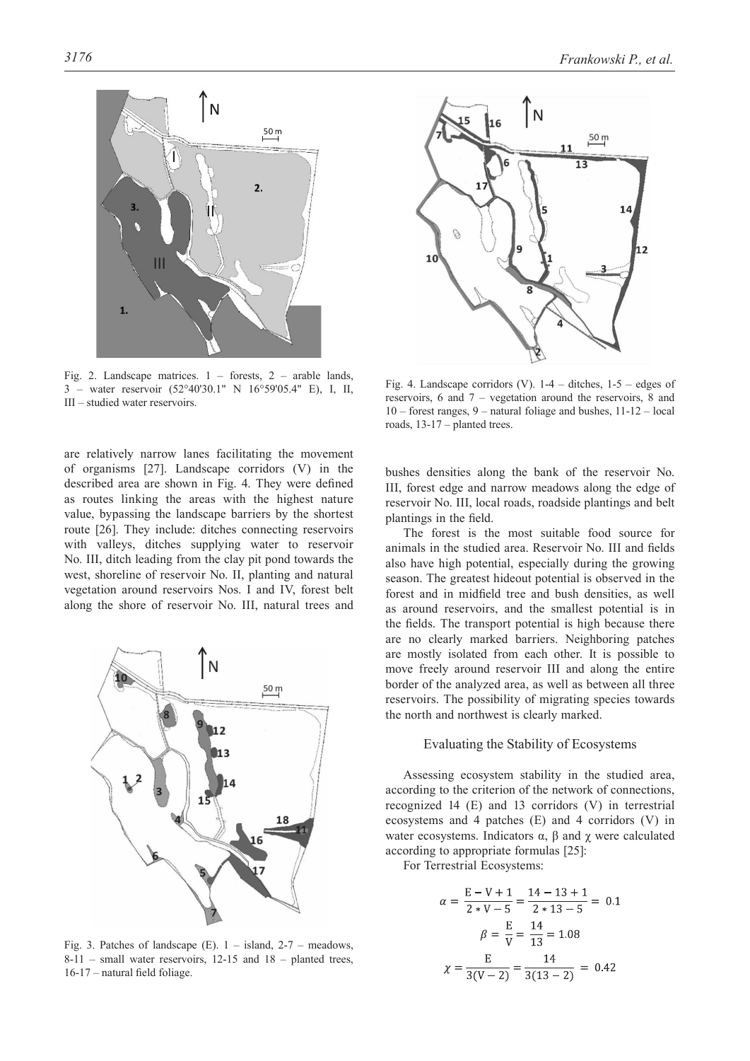

Fig. 2. Landscape matrices. 1 – forests, 2 – arable lands, 3 – water reservoir (52°40'30.1" N 16°59'05.4" E), I, II, III – studied water reservoirs.

are relatively narrow lanes facilitating the movement of organisms [27]. Landscape corridors (V) in the described area are shown in Fig. 4. They were defined as routes linking the areas with the highest nature value, bypassing the landscape barriers by the shortest route [26]. They include: ditches connecting reservoirs with valleys, ditches supplying water to reservoir No. III, ditch leading from the clay pit pond towards the west, shoreline of reservoir No. II, planting and natural vegetation around reservoirs Nos. I and IV, forest belt along the shore of reservoir No. III, natural trees and



Fig. 3. Patches of landscape (E).  $1 -$  island,  $2-7 -$  meadows,  $8-11$  – small water reservoirs, 12-15 and  $18$  – planted trees, 16-17 – natural field foliage.



Fig. 4. Landscape corridors (V).  $1-4$  – ditches,  $1-5$  – edges of reservoirs, 6 and 7 – vegetation around the reservoirs, 8 and 10 – forest ranges, 9 – natural foliage and bushes, 11-12 – local roads, 13-17 – planted trees.

bushes densities along the bank of the reservoir No. III, forest edge and narrow meadows along the edge of reservoir No. III, local roads, roadside plantings and belt plantings in the field.

The forest is the most suitable food source for animals in the studied area. Reservoir No. III and fields also have high potential, especially during the growing season. The greatest hideout potential is observed in the forest and in midfield tree and bush densities, as well as around reservoirs, and the smallest potential is in the fields. The transport potential is high because there are no clearly marked barriers. Neighboring patches are mostly isolated from each other. It is possible to move freely around reservoir III and along the entire border of the analyzed area, as well as between all three reservoirs. The possibility of migrating species towards the north and northwest is clearly marked.

#### Evaluating the Stability of Ecosystems

Assessing ecosystem stability in the studied area, according to the criterion of the network of connections, recognized 14 (E) and 13 corridors (V) in terrestrial ecosystems and 4 patches (E) and 4 corridors (V) in water ecosystems. Indicators  $\alpha$ ,  $\beta$  and  $\gamma$  were calculated according to appropriate formulas [25]:

For Terrestrial Ecosystems:

$$
\alpha = \frac{E - V + 1}{2 * V - 5} = \frac{14 - 13 + 1}{2 * 13 - 5} = 0.1
$$

$$
\beta = \frac{E}{V} = \frac{14}{13} = 1.08
$$

$$
\chi = \frac{E}{3(V - 2)} = \frac{14}{3(13 - 2)} = 0.42
$$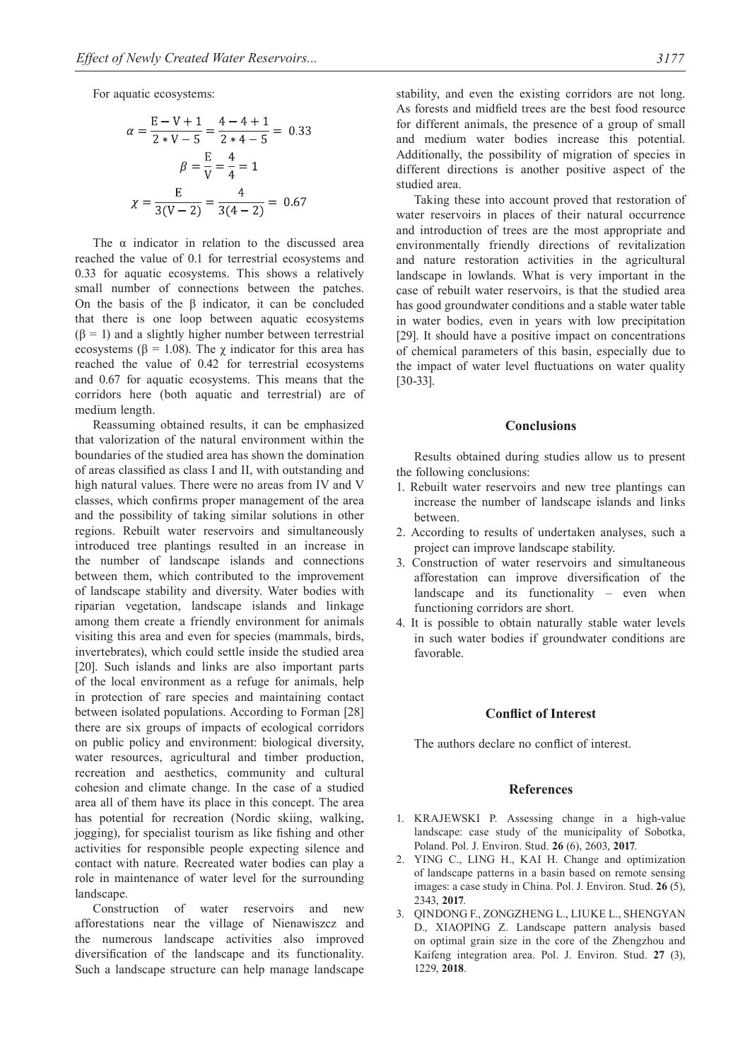For aquatic ecosystems:

$$
\alpha = \frac{E - V + 1}{2 * V - 5} = \frac{4 - 4 + 1}{2 * 4 - 5} = 0.33
$$

$$
\beta = \frac{E}{V} = \frac{4}{4} = 1
$$

$$
\chi = \frac{E}{3(V - 2)} = \frac{4}{3(4 - 2)} = 0.67
$$

The  $\alpha$  indicator in relation to the discussed area reached the value of 0.1 for terrestrial ecosystems and 0.33 for aquatic ecosystems. This shows a relatively small number of connections between the patches. On the basis of the β indicator, it can be concluded that there is one loop between aquatic ecosystems  $(\beta = 1)$  and a slightly higher number between terrestrial ecosystems ( $\beta$  = 1.08). The  $\chi$  indicator for this area has reached the value of 0.42 for terrestrial ecosystems and 0.67 for aquatic ecosystems. This means that the corridors here (both aquatic and terrestrial) are of medium length.

Reassuming obtained results, it can be emphasized that valorization of the natural environment within the boundaries of the studied area has shown the domination of areas classified as class I and II, with outstanding and high natural values. There were no areas from IV and V classes, which confirms proper management of the area and the possibility of taking similar solutions in other regions. Rebuilt water reservoirs and simultaneously introduced tree plantings resulted in an increase in the number of landscape islands and connections between them, which contributed to the improvement of landscape stability and diversity. Water bodies with riparian vegetation, landscape islands and linkage among them create a friendly environment for animals visiting this area and even for species (mammals, birds, invertebrates), which could settle inside the studied area [20]. Such islands and links are also important parts of the local environment as a refuge for animals, help in protection of rare species and maintaining contact between isolated populations. According to Forman [28] there are six groups of impacts of ecological corridors on public policy and environment: biological diversity, water resources, agricultural and timber production, recreation and aesthetics, community and cultural cohesion and climate change. In the case of a studied area all of them have its place in this concept. The area has potential for recreation (Nordic skiing, walking, jogging), for specialist tourism as like fishing and other activities for responsible people expecting silence and contact with nature. Recreated water bodies can play a role in maintenance of water level for the surrounding landscape.

Construction of water reservoirs and new afforestations near the village of Nienawiszcz and the numerous landscape activities also improved diversification of the landscape and its functionality. Such a landscape structure can help manage landscape stability, and even the existing corridors are not long. As forests and midfield trees are the best food resource for different animals, the presence of a group of small and medium water bodies increase this potential. Additionally, the possibility of migration of species in different directions is another positive aspect of the studied area.

Taking these into account proved that restoration of water reservoirs in places of their natural occurrence and introduction of trees are the most appropriate and environmentally friendly directions of revitalization and nature restoration activities in the agricultural landscape in lowlands. What is very important in the case of rebuilt water reservoirs, is that the studied area has good groundwater conditions and a stable water table in water bodies, even in years with low precipitation [29]. It should have a positive impact on concentrations of chemical parameters of this basin, especially due to the impact of water level fluctuations on water quality [30-33].

#### **Conclusions**

Results obtained during studies allow us to present the following conclusions:

- 1. Rebuilt water reservoirs and new tree plantings can increase the number of landscape islands and links between.
- 2. According to results of undertaken analyses, such a project can improve landscape stability.
- 3. Construction of water reservoirs and simultaneous afforestation can improve diversification of the landscape and its functionality – even when functioning corridors are short.
- 4. It is possible to obtain naturally stable water levels in such water bodies if groundwater conditions are favorable.

## **Conflict of Interest**

The authors declare no conflict of interest.

#### **References**

- 1. KRAJEWSKI P. Assessing change in a high-value landscape: case study of the municipality of Sobotka, Poland. Pol. J. Environ. Stud. **26** (6), 2603, **2017**.
- 2. YING C., LING H., KAI H. Change and optimization of landscape patterns in a basin based on remote sensing images: a case study in China. Pol. J. Environ. Stud. **26** (5), 2343, **2017**.
- 3. QINDONG F., ZONGZHENG L., LIUKE L., SHENGYAN D., XIAOPING Z. Landscape pattern analysis based on optimal grain size in the core of the Zhengzhou and Kaifeng integration area. Pol. J. Environ. Stud. **27** (3), 1229, **2018**.